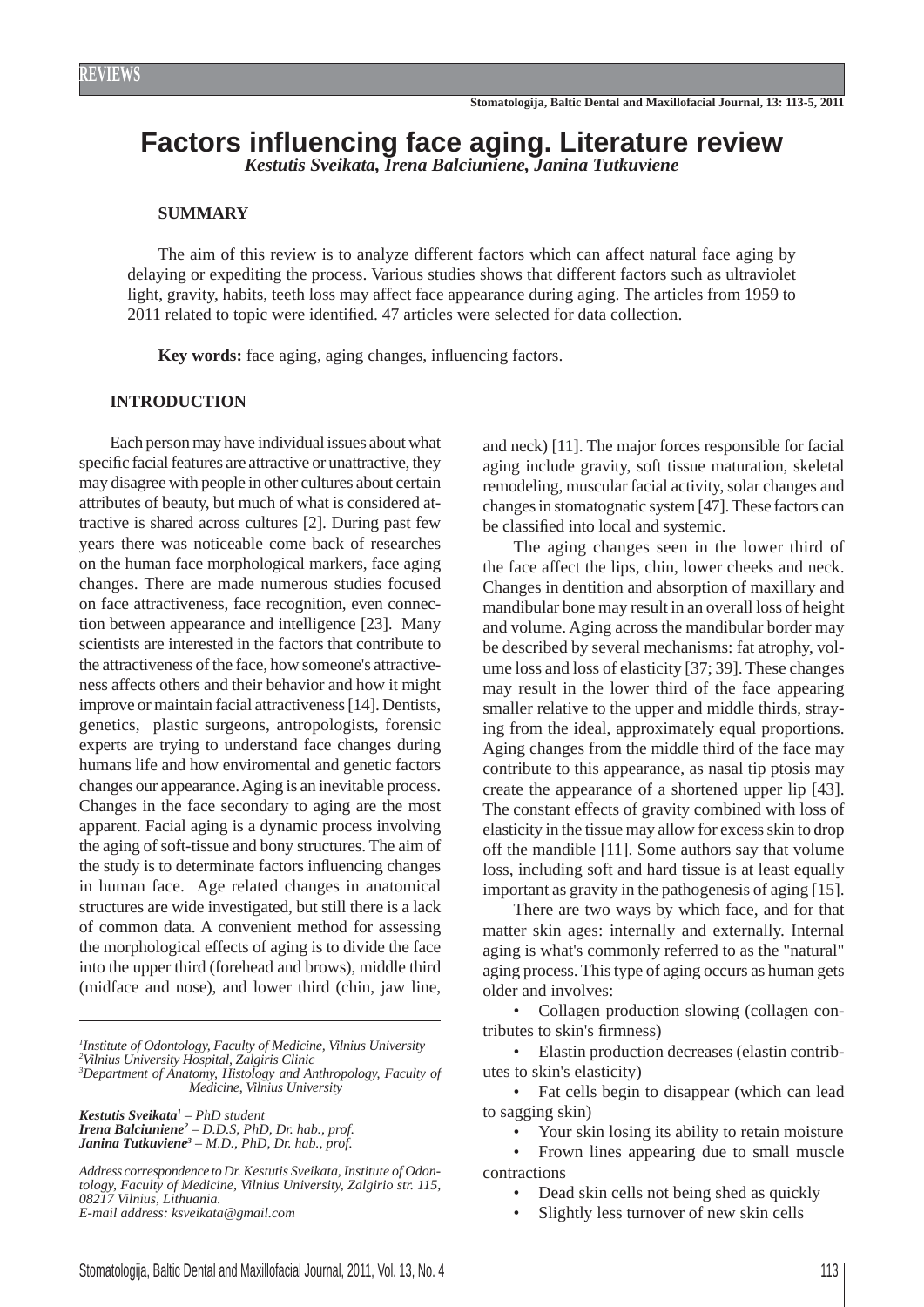# **Factors infl uencing face aging. Literature review** *Kestutis Sveikata, Irena Balciuniene, Janina Tutkuviene*

# **SUMMARY**

The aim of this review is to analyze different factors which can affect natural face aging by delaying or expediting the process. Various studies shows that different factors such as ultraviolet light, gravity, habits, teeth loss may affect face appearance during aging. The articles from 1959 to 2011 related to topic were identified. 47 articles were selected for data collection.

Key words: face aging, aging changes, influencing factors.

# **INTRODUCTION**

Each person may have individual issues about what specific facial features are attractive or unattractive, they may disagree with people in other cultures about certain attributes of beauty, but much of what is considered attractive is shared across cultures [2]. During past few years there was noticeable come back of researches on the human face morphological markers, face aging changes. There are made numerous studies focused on face attractiveness, face recognition, even connection between appearance and intelligence [23]. Many scientists are interested in the factors that contribute to the attractiveness of the face, how someone's attractiveness affects others and their behavior and how it might improve or maintain facial attractiveness [14]. Dentists, genetics, plastic surgeons, antropologists, forensic experts are trying to understand face changes during humans life and how enviromental and genetic factors changes our appearance. Aging is an inevitable process. Changes in the face secondary to aging are the most apparent. Facial aging is a dynamic process involving the aging of soft-tissue and bony structures. The aim of the study is to determinate factors influencing changes in human face. Age related changes in anatomical structures are wide investigated, but still there is a lack of common data. A convenient method for assessing the morphological effects of aging is to divide the face into the upper third (forehead and brows), middle third (midface and nose), and lower third (chin, jaw line,

*1 Institute of Odontology, Faculty of Medicine, Vilnius University 2 Vilnius University Hospital, Zalgiris Clinic*

*3 Department of Anatomy, Histology and Anthropology, Faculty of Medicine, Vilnius University*

*Kestutis Sveikata1 – PhD student Irena Balciuniene2 – D.D.S, PhD, Dr. hab., prof. Janina Tutkuviene3 – M.D., PhD, Dr. hab., prof.*

*Address correspondence to Dr. Kestutis Sveikata, Institute of Odontology, Faculty of Medicine, Vilnius University, Zalgirio str. 115, 08217 Vilnius, Lithuania. E-mail address: ksveikata@gmail.com*

and neck) [11]. The major forces responsible for facial aging include gravity, soft tissue maturation, skeletal remodeling, muscular facial activity, solar changes and changes in stomatognatic system [47]. These factors can be classified into local and systemic.

The aging changes seen in the lower third of the face affect the lips, chin, lower cheeks and neck. Changes in dentition and absorption of maxillary and mandibular bone may result in an overall loss of height and volume. Aging across the mandibular border may be described by several mechanisms: fat atrophy, volume loss and loss of elasticity [37; 39]. These changes may result in the lower third of the face appearing smaller relative to the upper and middle thirds, straying from the ideal, approximately equal proportions. Aging changes from the middle third of the face may contribute to this appearance, as nasal tip ptosis may create the appearance of a shortened upper lip [43]. The constant effects of gravity combined with loss of elasticity in the tissue may allow for excess skin to drop off the mandible [11]. Some authors say that volume loss, including soft and hard tissue is at least equally important as gravity in the pathogenesis of aging [15].

There are two ways by which face, and for that matter skin ages: internally and externally. Internal aging is what's commonly referred to as the "natural" aging process. This type of aging occurs as human gets older and involves:

• Collagen production slowing (collagen contributes to skin's firmness)

Elastin production decreases (elastin contributes to skin's elasticity)

• Fat cells begin to disappear (which can lead to sagging skin)

Your skin losing its ability to retain moisture

• Frown lines appearing due to small muscle contractions

- Dead skin cells not being shed as quickly
- Slightly less turnover of new skin cells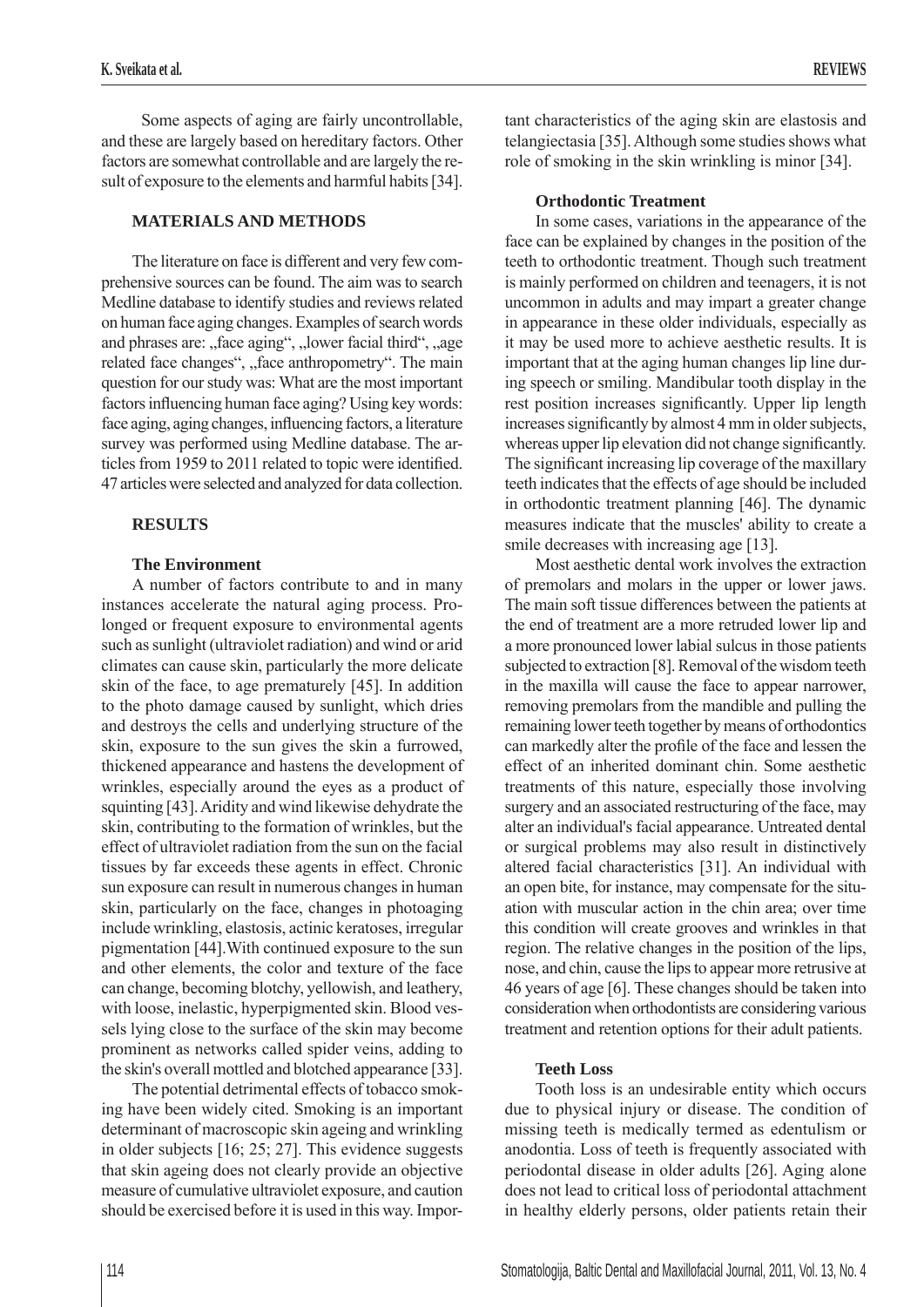Some aspects of aging are fairly uncontrollable, and these are largely based on hereditary factors. Other factors are somewhat controllable and are largely the result of exposure to the elements and harmful habits [34].

# **MATERIALS AND METHODS**

The literature on face is different and very few comprehensive sources can be found. The aim was to search Medline database to identify studies and reviews related on human face aging changes. Examples of search words and phrases are: "face aging", "lower facial third", "age related face changes", "face anthropometry". The main question for our study was: What are the most important factors influencing human face aging? Using key words: face aging, aging changes, influencing factors, a literature survey was performed using Medline database. The articles from 1959 to 2011 related to topic were identified. 47 articles were selected and analyzed for data collection.

## **RESULTS**

# **The Environment**

A number of factors contribute to and in many instances accelerate the natural aging process. Prolonged or frequent exposure to environmental agents such as sunlight (ultraviolet radiation) and wind or arid climates can cause skin, particularly the more delicate skin of the face, to age prematurely [45]. In addition to the photo damage caused by sunlight, which dries and destroys the cells and underlying structure of the skin, exposure to the sun gives the skin a furrowed, thickened appearance and hastens the development of wrinkles, especially around the eyes as a product of squinting [43]. Aridity and wind likewise dehydrate the skin, contributing to the formation of wrinkles, but the effect of ultraviolet radiation from the sun on the facial tissues by far exceeds these agents in effect. Chronic sun exposure can result in numerous changes in human skin, particularly on the face, changes in photoaging include wrinkling, elastosis, actinic keratoses, irregular pigmentation [44].With continued exposure to the sun and other elements, the color and texture of the face can change, becoming blotchy, yellowish, and leathery, with loose, inelastic, hyperpigmented skin. Blood vessels lying close to the surface of the skin may become prominent as networks called spider veins, adding to the skin's overall mottled and blotched appearance [33].

The potential detrimental effects of tobacco smoking have been widely cited. Smoking is an important determinant of macroscopic skin ageing and wrinkling in older subjects [16; 25; 27]. This evidence suggests that skin ageing does not clearly provide an objective measure of cumulative ultraviolet exposure, and caution should be exercised before it is used in this way. Important characteristics of the aging skin are elastosis and telangiectasia [35]. Although some studies shows what role of smoking in the skin wrinkling is minor [34].

## **Orthodontic Treatment**

In some cases, variations in the appearance of the face can be explained by changes in the position of the teeth to orthodontic treatment. Though such treatment is mainly performed on children and teenagers, it is not uncommon in adults and may impart a greater change in appearance in these older individuals, especially as it may be used more to achieve aesthetic results. It is important that at the aging human changes lip line during speech or smiling. Mandibular tooth display in the rest position increases significantly. Upper lip length increases significantly by almost 4 mm in older subjects, whereas upper lip elevation did not change significantly. The significant increasing lip coverage of the maxillary teeth indicates that the effects of age should be included in orthodontic treatment planning [46]. The dynamic measures indicate that the muscles' ability to create a smile decreases with increasing age [13].

Most aesthetic dental work involves the extraction of premolars and molars in the upper or lower jaws. The main soft tissue differences between the patients at the end of treatment are a more retruded lower lip and a more pronounced lower labial sulcus in those patients subjected to extraction [8]. Removal of the wisdom teeth in the maxilla will cause the face to appear narrower, removing premolars from the mandible and pulling the remaining lower teeth together by means of orthodontics can markedly alter the profile of the face and lessen the effect of an inherited dominant chin. Some aesthetic treatments of this nature, especially those involving surgery and an associated restructuring of the face, may alter an individual's facial appearance. Untreated dental or surgical problems may also result in distinctively altered facial characteristics [31]. An individual with an open bite, for instance, may compensate for the situation with muscular action in the chin area; over time this condition will create grooves and wrinkles in that region. The relative changes in the position of the lips, nose, and chin, cause the lips to appear more retrusive at 46 years of age [6]. These changes should be taken into consideration when orthodontists are considering various treatment and retention options for their adult patients.

## **Teeth Loss**

Tooth loss is an undesirable entity which occurs due to physical injury or disease. The condition of missing teeth is medically termed as edentulism or anodontia. Loss of teeth is frequently associated with periodontal disease in older adults [26]. Aging alone does not lead to critical loss of periodontal attachment in healthy elderly persons, older patients retain their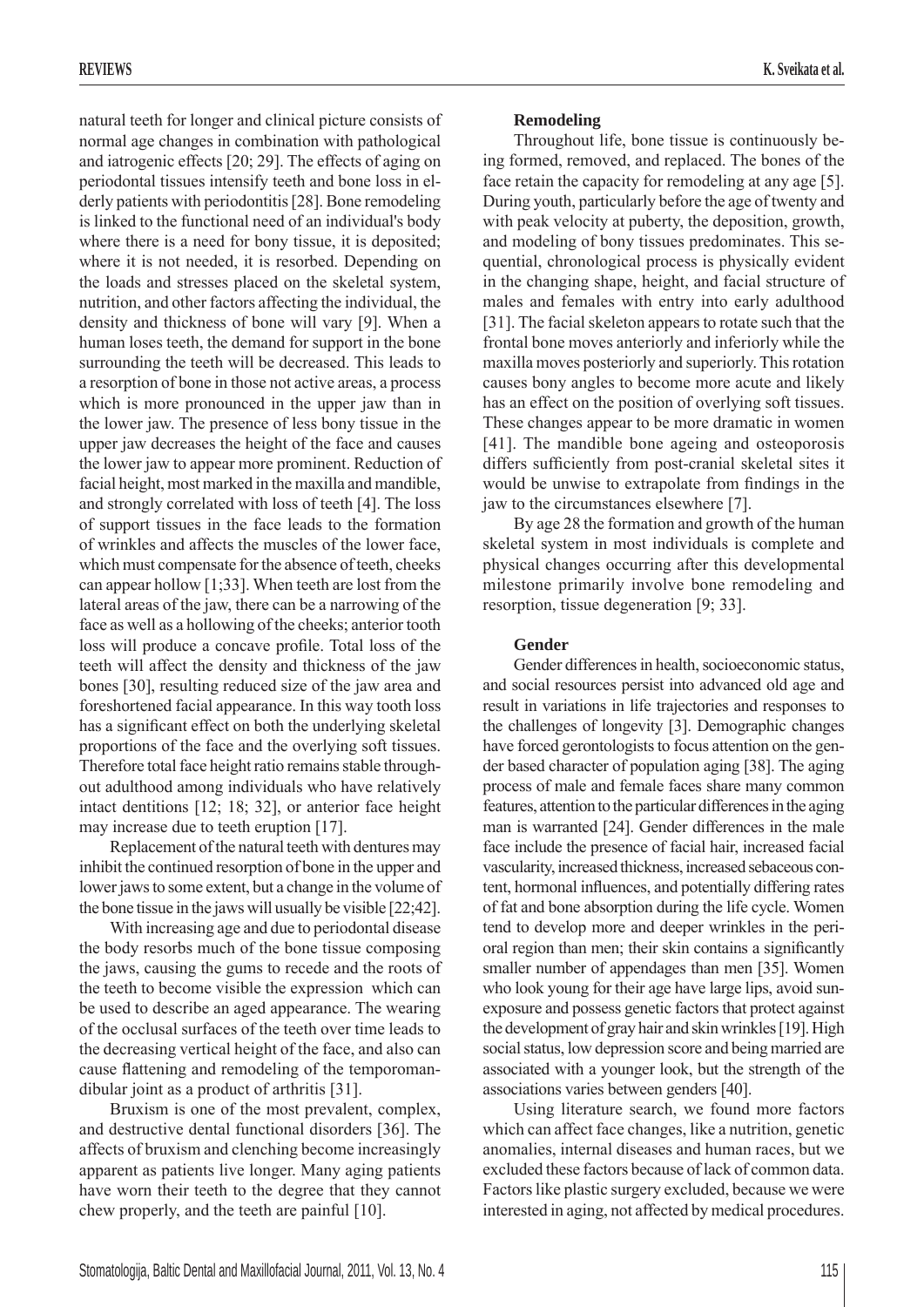natural teeth for longer and clinical picture consists of normal age changes in combination with pathological and iatrogenic effects [20; 29]. The effects of aging on periodontal tissues intensify teeth and bone loss in elderly patients with periodontitis [28]. Bone remodeling is linked to the functional need of an individual's body where there is a need for bony tissue, it is deposited; where it is not needed, it is resorbed. Depending on the loads and stresses placed on the skeletal system, nutrition, and other factors affecting the individual, the density and thickness of bone will vary [9]. When a human loses teeth, the demand for support in the bone surrounding the teeth will be decreased. This leads to a resorption of bone in those not active areas, a process which is more pronounced in the upper jaw than in the lower jaw. The presence of less bony tissue in the upper jaw decreases the height of the face and causes the lower jaw to appear more prominent. Reduction of facial height, most marked in the maxilla and mandible, and strongly correlated with loss of teeth [4]. The loss of support tissues in the face leads to the formation of wrinkles and affects the muscles of the lower face, which must compensate for the absence of teeth, cheeks can appear hollow [1;33]. When teeth are lost from the lateral areas of the jaw, there can be a narrowing of the face as well as a hollowing of the cheeks; anterior tooth loss will produce a concave profile. Total loss of the teeth will affect the density and thickness of the jaw bones [30], resulting reduced size of the jaw area and foreshortened facial appearance. In this way tooth loss has a significant effect on both the underlying skeletal proportions of the face and the overlying soft tissues. Therefore total face height ratio remains stable throughout adulthood among individuals who have relatively intact dentitions [12; 18; 32], or anterior face height may increase due to teeth eruption [17].

Replacement of the natural teeth with dentures may inhibit the continued resorption of bone in the upper and lower jaws to some extent, but a change in the volume of the bone tissue in the jaws will usually be visible [22;42].

With increasing age and due to periodontal disease the body resorbs much of the bone tissue composing the jaws, causing the gums to recede and the roots of the teeth to become visible the expression which can be used to describe an aged appearance. The wearing of the occlusal surfaces of the teeth over time leads to the decreasing vertical height of the face, and also can cause flattening and remodeling of the temporomandibular joint as a product of arthritis [31].

Bruxism is one of the most prevalent, complex, and destructive dental functional disorders [36]. The affects of bruxism and clenching become increasingly apparent as patients live longer. Many aging patients have worn their teeth to the degree that they cannot chew properly, and the teeth are painful [10].

# **Remodeling**

Throughout life, bone tissue is continuously being formed, removed, and replaced. The bones of the face retain the capacity for remodeling at any age [5]. During youth, particularly before the age of twenty and with peak velocity at puberty, the deposition, growth, and modeling of bony tissues predominates. This sequential, chronological process is physically evident in the changing shape, height, and facial structure of males and females with entry into early adulthood [31]. The facial skeleton appears to rotate such that the frontal bone moves anteriorly and inferiorly while the maxilla moves posteriorly and superiorly. This rotation causes bony angles to become more acute and likely has an effect on the position of overlying soft tissues. These changes appear to be more dramatic in women [41]. The mandible bone ageing and osteoporosis differs sufficiently from post-cranial skeletal sites it would be unwise to extrapolate from findings in the jaw to the circumstances elsewhere [7].

By age 28 the formation and growth of the human skeletal system in most individuals is complete and physical changes occurring after this developmental milestone primarily involve bone remodeling and resorption, tissue degeneration [9; 33].

## **Gender**

Gender differences in health, socioeconomic status, and social resources persist into advanced old age and result in variations in life trajectories and responses to the challenges of longevity [3]. Demographic changes have forced gerontologists to focus attention on the gender based character of population aging [38]. The aging process of male and female faces share many common features, attention to the particular differences in the aging man is warranted [24]. Gender differences in the male face include the presence of facial hair, increased facial vascularity, increased thickness, increased sebaceous content, hormonal influences, and potentially differing rates of fat and bone absorption during the life cycle. Women tend to develop more and deeper wrinkles in the perioral region than men; their skin contains a significantly smaller number of appendages than men [35]. Women who look young for their age have large lips, avoid sunexposure and possess genetic factors that protect against the development of gray hair and skin wrinkles [19]. High social status, low depression score and being married are associated with a younger look, but the strength of the associations varies between genders [40].

Using literature search, we found more factors which can affect face changes, like a nutrition, genetic anomalies, internal diseases and human races, but we excluded these factors because of lack of common data. Factors like plastic surgery excluded, because we were interested in aging, not affected by medical procedures.